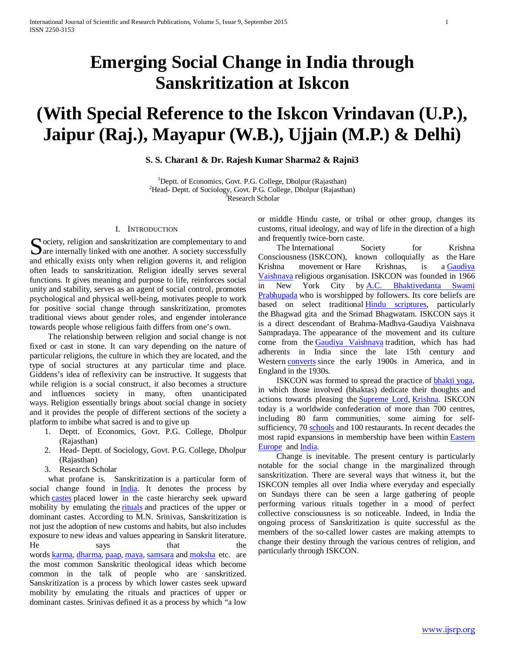# **Emerging Social Change in India through Sanskritization at Iskcon**

# **(With Special Reference to the Iskcon Vrindavan (U.P.), Jaipur (Raj.), Mayapur (W.B.), Ujjain (M.P.) & Delhi)**

**S. S. Charan1 & Dr. Rajesh Kumar Sharma2 & Rajni3**

<sup>1</sup>Deptt. of Economics, Govt. P.G. College, Dholpur (Rajasthan)<sup>2</sup>Head, Deptt. of Sociology, Govt. B.G. College, Dholpur (Rejecthe <sup>2</sup>Head- Deptt. of Sociology, Govt. P.G. College, Dholpur (Rajasthan) Research Scholar

#### I. INTRODUCTION

Society, religion and sanskritization are complementary to and<br>
Sare internally linked with one another. A society successfully  $\Box$  are internally linked with one another. A society successfully and ethically exists only when religion governs it, and religion often leads to sanskritization. Religion ideally serves several functions. It gives meaning and purpose to life, reinforces social unity and stability, serves as an agent of social control, promotes psychological and physical well-being, motivates people to work for positive social change through sanskritization, promotes traditional views about gender roles, and engender intolerance towards people whose religious faith differs from one's own.

 The relationship between religion and social change is not fixed or cast in stone. It can vary depending on the nature of particular religions, the culture in which they are located, and the type of social structures at any particular time and place. Giddens's idea of reflexivity can be instructive. It suggests that while religion is a social construct, it also becomes a structure and influences society in many, often unanticipated ways. Religion essentially brings about social change in society and it provides the people of different sections of the society a platform to imbibe what sacred is and to give up

- 1. Deptt. of Economics, Govt. P.G. College, Dholpur (Rajasthan)
- 2. Head- Deptt. of Sociology, Govt. P.G. College, Dholpur (Rajasthan)
- 3. Research Scholar

 what profane is. Sanskritization is a particular form of social change found in [India.](http://en.wikipedia.org/wiki/India) It denotes the process by which [castes](http://en.wikipedia.org/wiki/Caste) placed lower in the caste hierarchy seek upward mobility by emulating the [rituals](http://en.wikipedia.org/wiki/Ritual) and practices of the upper or dominant castes. According to M.N. Srinivas, Sanskritization is not just the adoption of new customs and habits, but also includes exposure to new ideas and values appearing in Sanskrit literature. He says that the words [karma,](http://en.wikipedia.org/wiki/Karma) [dharma,](http://en.wikipedia.org/wiki/Dharma) [paap,](http://en.wikipedia.org/wiki/Sin#Hindu_views_of_sin) [maya,](http://en.wikipedia.org/wiki/Maya_(illusion)) [samsara](http://en.wikipedia.org/wiki/Samsara) and [moksha](http://en.wikipedia.org/wiki/Moksha) etc. are the most common Sanskritic theological ideas which become common in the talk of people who are sanskritized. Sanskritization is a process by which lower castes seek upward mobility by emulating the rituals and practices of upper or dominant castes. Srinivas defined it as a process by which "a low

or middle Hindu caste, or tribal or other group, changes its customs, ritual ideology, and way of life in the direction of a high and frequently twice-born caste.

The International Society for Krishna Consciousness (ISKCON), known colloquially as the Hare Krishna movement or Hare Krishnas, is a [Gaudiya](http://en.wikipedia.org/wiki/Gaudiya_Vaishnava)  [Vaishnava](http://en.wikipedia.org/wiki/Gaudiya_Vaishnava) religious organisation. ISKCON was founded in 1966 in New York City by [A.C. Bhaktivedanta Swami](http://en.wikipedia.org/wiki/A.C._Bhaktivedanta_Swami_Prabhupada)  [Prabhupada](http://en.wikipedia.org/wiki/A.C._Bhaktivedanta_Swami_Prabhupada) who is worshipped by followers. Its core beliefs are based on select traditional [Hindu scriptures,](http://en.wikipedia.org/wiki/Hindu_scriptures) particularly the Bhagwad gita and the Srimad Bhagwatam. ISKCON says it is a direct descendant of Brahma-Madhva-Gaudiya Vaishnava Sampradaya. The appearance of the movement and its culture come from the Gaudiya [Vaishnava](http://en.wikipedia.org/wiki/Gaudiya_Vaishnavism) tradition, which has had adherents in India since the late 15th century and Western [converts](http://en.wikipedia.org/wiki/Religious_conversion) since the early 1900s in America, and in England in the 1930s.

 ISKCON was formed to spread the practice of [bhakti yoga,](http://en.wikipedia.org/wiki/Bhakti_yoga) in which those involved (bhaktas) dedicate their thoughts and actions towards pleasing the [Supreme Lord,](http://en.wikipedia.org/wiki/Svayam_bhagavan) [Krishna.](http://en.wikipedia.org/wiki/Krishna) ISKCON today is a worldwide confederation of more than 700 centres, including 80 farm communities, some aiming for selfsufficiency, 70 [schools](http://en.wikipedia.org/wiki/ISKCON_schools) and 100 restaurants. In recent decades the most rapid expansions in membership have been within [Eastern](http://en.wikipedia.org/wiki/Eastern_Europe)  **[Europe](http://en.wikipedia.org/wiki/Eastern_Europe)** and **India**.

 Change is inevitable. The present century is particularly notable for the social change in the marginalized through sanskritization. There are several ways that witness it, but the ISKCON temples all over India where everyday and especially on Sundays there can be seen a large gathering of people performing various rituals together in a mood of perfect collective consciousness is so noticeable. Indeed, in India the ongoing process of Sanskritization is quite successful as the members of the so-called lower castes are making attempts to change their destiny through the various centres of religion, and particularly through ISKCON.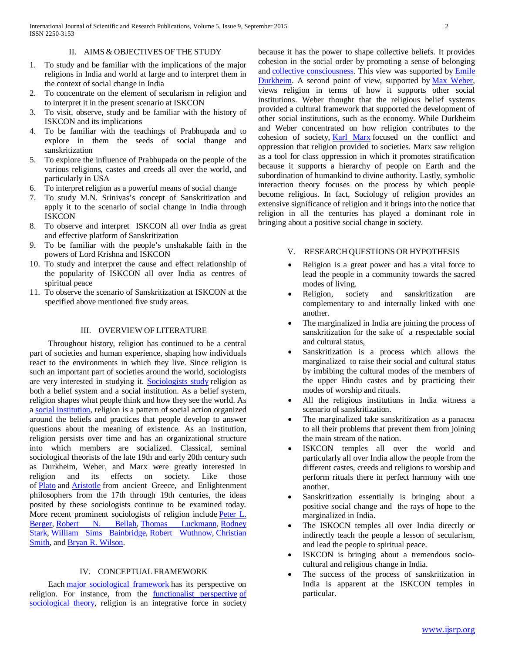#### II. AIMS & OBJECTIVES OF THE STUDY

- 1. To study and be familiar with the implications of the major religions in India and world at large and to interpret them in the context of social change in India
- 2. To concentrate on the element of secularism in religion and to interpret it in the present scenario at ISKCON
- 3. To visit, observe, study and be familiar with the history of ISKCON and its implications
- 4. To be familiar with the teachings of Prabhupada and to explore in them the seeds of social thange and sanskritization
- 5. To explore the influence of Prabhupada on the people of the various religions, castes and creeds all over the world, and particularly in USA
- 6. To interpret religion as a powerful means of social change
- 7. To study M.N. Srinivas's concept of Sanskritization and apply it to the scenario of social change in India through **ISKCON**
- 8. To observe and interpret ISKCON all over India as great and effective platform of Sanskritization
- 9. To be familiar with the people's unshakable faith in the powers of Lord Krishna and ISKCON
- 10. To study and interpret the cause and effect relationship of the popularity of ISKCON all over India as centres of spiritual peace
- 11. To observe the scenario of Sanskritization at ISKCON at the specified above mentioned five study areas.

### III. OVERVIEW OF LITERATURE

 Throughout history, religion has continued to be a central part of societies and human experience, shaping how individuals react to the environments in which they live. Since religion is such an important part of societies around the world, sociologists are very interested in studying it. [Sociologists study](http://sociology.about.com/od/Disciplines/fl/Sociology-of-Consumption.htm) religion as both a belief system and a social institution. As a belief system, religion shapes what people think and how they see the world. As a [social institution,](http://sociology.about.com/od/I_Index/g/Institution.htm) religion is a pattern of social action organized around the beliefs and practices that people develop to answer questions about the meaning of existence. As an institution, religion persists over time and has an organizational structure into which members are socialized. Classical, seminal sociological theorists of the late 19th and early 20th century such as Durkheim, Weber, and Marx were greatly interested in religion and its effects on society. Like those of [Plato](http://en.wikipedia.org/wiki/Plato) and [Aristotle](http://en.wikipedia.org/wiki/Aristotle) from ancient Greece, and Enlightenment philosophers from the 17th through 19th centuries, the ideas posited by these sociologists continue to be examined today. More recent prominent sociologists of religion include [Peter L.](http://en.wikipedia.org/wiki/Peter_L._Berger)  [Berger,](http://en.wikipedia.org/wiki/Peter_L._Berger) [Robert N. Bellah,](http://en.wikipedia.org/wiki/Robert_N._Bellah) [Thomas Luckmann,](http://en.wikipedia.org/wiki/Thomas_Luckmann) Rodney [Stark,](http://en.wikipedia.org/wiki/Rodney_Stark) [William Sims Bainbridge,](http://en.wikipedia.org/wiki/William_Sims_Bainbridge) [Robert Wuthnow,](http://en.wikipedia.org/wiki/Robert_Wuthnow) [Christian](http://en.wikipedia.org/wiki/Christian_Smith_(sociologist))  [Smith,](http://en.wikipedia.org/wiki/Christian_Smith_(sociologist)) and [Bryan R. Wilson.](http://en.wikipedia.org/wiki/Bryan_R._Wilson)

### IV. CONCEPTUAL FRAMEWORK

 Each [major sociological framework](http://sociology.about.com/od/Sociology101/tp/Major-Sociological-Frameworks.01.htm) has its perspective on religion. For instance, from the [functionalist perspective](http://sociology.about.com/od/F_Index/g/Functionalist-Perspective.htm) [of](http://sociology.about.com/od/Sociology101/tp/Major-Sociological-Frameworks.htm)  [sociological theory,](http://sociology.about.com/od/Sociology101/tp/Major-Sociological-Frameworks.htm) religion is an integrative force in society because it has the power to shape collective beliefs. It provides cohesion in the social order by promoting a sense of belonging and [collective consciousness.](http://sociology.about.com/od/C_Index/g/Collective-Conscious.htm) This view was supported by [Emile](http://sociology.about.com/od/Profiles/p/Emile-Durkheim.htm)  [Durkheim.](http://sociology.about.com/od/Profiles/p/Emile-Durkheim.htm) A second point of view, supported by [Max Weber,](http://sociology.about.com/od/Profiles/p/Max-Weber.htm)  views religion in terms of how it supports other social institutions. Weber thought that the religious belief systems provided a cultural framework that supported the development of other social institutions, such as the economy. While Durkheim and Weber concentrated on how religion contributes to the cohesion of society, [Karl Marx](http://sociology.about.com/od/Profiles/p/Karl-Marx.htm) focused on the conflict and oppression that religion provided to societies. Marx saw religion as a tool for class oppression in which it promotes stratification because it supports a hierarchy of people on Earth and the subordination of humankind to divine authority. Lastly, symbolic interaction theory focuses on the process by which people become religious. In fact, Sociology of religion provides an extensive significance of religion and it brings into the notice that religion in all the centuries has played a dominant role in bringing about a positive social change in society.

#### V. RESEARCH QUESTIONS OR HYPOTHESIS

- Religion is a great power and has a vital force to lead the people in a community towards the sacred modes of living.
- Religion, society and sanskritization are complementary to and internally linked with one another.
- The marginalized in India are joining the process of sanskritization for the sake of a respectable social and cultural status,
- Sanskritization is a process which allows the marginalized to raise their social and cultural status by imbibing the cultural modes of the members of the upper Hindu castes and by practicing their modes of worship and rituals.
- All the religious institutions in India witness a scenario of sanskritization.
- The marginalized take sanskritization as a panacea to all their problems that prevent them from joining the main stream of the nation.
- ISKCON temples all over the world and particularly all over India allow the people from the different castes, creeds and religions to worship and perform rituals there in perfect harmony with one another.
- Sanskritization essentially is bringing about a positive social change and the rays of hope to the marginalized in India.
- The ISKOCN temples all over India directly or indirectly teach the people a lesson of secularism, and lead the people to spiritual peace.
- ISKCON is bringing about a tremendous sociocultural and religious change in India.
- The success of the process of sanskritization in India is apparent at the ISKCON temples in particular.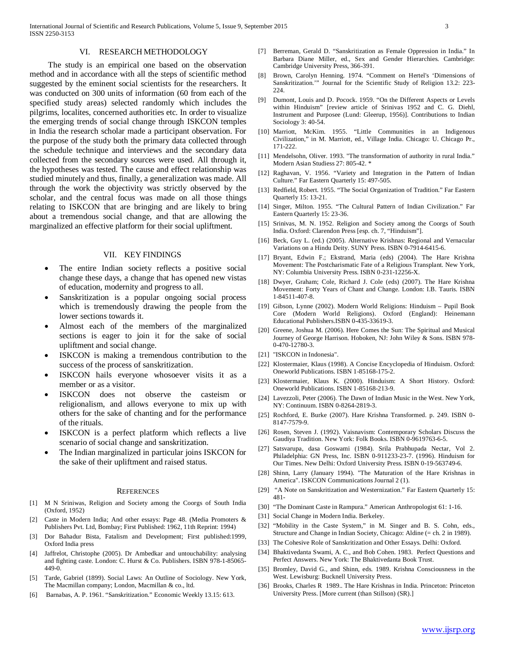#### VI. RESEARCH METHODOLOGY

 The study is an empirical one based on the observation method and in accordance with all the steps of scientific method suggested by the eminent social scientists for the researchers. It was conducted on 300 units of information (60 from each of the specified study areas) selected randomly which includes the pilgrims, localites, concerned authorities etc. In order to visualize the emerging trends of social change through ISKCON temples in India the research scholar made a participant observation. For the purpose of the study both the primary data collected through the schedule technique and interviews and the secondary data collected from the secondary sources were used. All through it, the hypotheses was tested. The cause and effect relationship was studied minutely and thus, finally, a generalization was made. All through the work the objectivity was strictly observed by the scholar, and the central focus was made on all those things relating to ISKCON that are bringing and are likely to bring about a tremendous social change, and that are allowing the marginalized an effective platform for their social upliftment.

### VII. KEY FINDINGS

- The entire Indian society reflects a positive social change these days, a change that has opened new vistas of education, modernity and progress to all.
- Sanskritization is a popular ongoing social process which is tremendously drawing the people from the lower sections towards it.
- Almost each of the members of the marginalized sections is eager to join it for the sake of social upliftment and social change.
- ISKCON is making a tremendous contribution to the success of the process of sanskritization.
- ISKCON hails everyone whosoever visits it as a member or as a visitor.
- ISKCON does not observe the casteism or religionalism, and allows everyone to mix up with others for the sake of chanting and for the performance of the rituals.
- ISKCON is a perfect platform which reflects a live scenario of social change and sanskritization.
- The Indian marginalized in particular joins ISKCON for the sake of their upliftment and raised status.

#### **REFERENCES**

- [1] M N Sriniwas, Religion and Society among the Coorgs of South India (Oxford, 1952)
- Caste in Modern India; And other essays: Page 48. (Media Promoters & Publishers Pvt. Ltd, Bombay; First Published: 1962, 11th Reprint: 1994)
- [3] Dor Bahadur Bista, Fatalism and Development; First published:1999, Oxford India press
- [4] Jaffrelot, Christophe (2005). Dr Ambedkar and untouchability: analysing and fighting caste. London: C. Hurst & Co. Publishers. ISBN 978-1-85065- 449-0.
- [5] Tarde, Gabriel (1899). Social Laws: An Outline of Sociology. New York, The Macmillan company; London, Macmillan & co., ltd.
- [6] Barnabas, A. P. 1961. "Sanskritization." Economic Weekly 13.15: 613.
- [7] Berreman, Gerald D. "Sanskritization as Female Oppression in India." In Barbara Diane Miller, ed., Sex and Gender Hierarchies. Cambridge: Cambridge University Press, 366-391.
- [8] Brown, Carolyn Henning. 1974. "Comment on Hertel's 'Dimensions of Sanskritization.'" Journal for the Scientific Study of Religion 13.2: 223- 224.
- [9] Dumont, Louis and D. Pocock. 1959. "On the Different Aspects or Levels within Hinduism" [review article of Srinivas 1952 and C. G. Diehl, Instrument and Purposee (Lund: Gleerup, 1956)]. Contributions to Indian Sociology 3: 40-54.
- [10] Marriott, McKim. 1955. "Little Communities in an Indigenous Civilization," in M. Marriott, ed., Village India. Chicago: U. Chicago Pr., 171-222.
- [11] Mendelsohn, Oliver. 1993. "The transformation of authority in rural India." Modern Asian Studiess 27: 805-42. \*
- [12] Raghavan, V. 1956. "Variety and Integration in the Pattern of Indian Culture." Far Eastern Quarterly 15: 497-505.
- [13] Redfield, Robert. 1955. "The Social Organization of Tradition." Far Eastern Quarterly 15: 13-21.
- [14] Singer, Milton. 1955. "The Cultural Pattern of Indian Civilization." Far Eastern Quarterly 15: 23-36.
- [15] Srinivas, M. N. 1952. Religion and Society among the Coorgs of South India. Oxford: Clarendon Press [esp. ch. 7, "Hinduism"].
- [16] Beck, Guy L. (ed.) (2005). Alternative Krishnas: Regional and Vernacular Variations on a Hindu Deity. SUNY Press. ISBN 0-7914-6415-6.
- [17] Bryant, Edwin F.; Ekstrand, Maria (eds) (2004). The Hare Krishna Movement: The Postcharismatic Fate of a Religious Transplant. New York, NY: Columbia University Press. ISBN 0-231-12256-X.
- [18] Dwyer, Graham; Cole, Richard J. Cole (eds) (2007). The Hare Krishna Movement: Forty Years of Chant and Change. London: I.B. Tauris. ISBN 1-84511-407-8.
- [19] Gibson, Lynne (2002). Modern World Religions: Hinduism Pupil Book Core (Modern World Religions). Oxford (England): Heinemann Educational Publishers.ISBN 0-435-33619-3.
- [20] Greene, Joshua M. (2006). Here Comes the Sun: The Spiritual and Musical Journey of George Harrison. Hoboken, NJ: John Wiley & Sons. ISBN 978- 0-470-12780-3.
- [21] "ISKCON in Indonesia".
- [22] Klostermaier, Klaus (1998). A Concise Encyclopedia of Hinduism. Oxford: Oneworld Publications. ISBN 1-85168-175-2.
- [23] Klostermaier, Klaus K. (2000). Hinduism: A Short History. Oxford: Oneworld Publications. ISBN 1-85168-213-9.
- [24] Lavezzoli, Peter (2006). The Dawn of Indian Music in the West. New York, NY: Continuum. ISBN 0-8264-2819-3.
- [25] Rochford, E. Burke (2007). Hare Krishna Transformed. p. 249. ISBN 0- 8147-7579-9.
- [26] Rosen, Steven J. (1992). Vaisnavism: Contemporary Scholars Discuss the Gaudiya Tradition. New York: Folk Books. ISBN 0-9619763-6-5.
- [27] Satsvarupa, dasa Goswami (1984). Srila Prabhupada Nectar, Vol 2. Philadelphia: GN Press, Inc. ISBN 0-911233-23-7. (1996). Hinduism for Our Times. New Delhi: Oxford University Press. ISBN 0-19-563749-6.
- [28] Shinn, Larry (January 1994). "The Maturation of the Hare Krishnas in America". ISKCON Communications Journal 2 (1).
- [29] "A Note on Sanskritization and Westernization." Far Eastern Quarterly 15: 481-
- [30] "The Dominant Caste in Rampura." American Anthropologist 61: 1-16.
- [31] Social Change in Modern India. Berkeley.
- [32] "Mobility in the Caste System," in M. Singer and B. S. Cohn, eds., Structure and Change in Indian Society, Chicago: Aldine (= ch. 2 in 1989).
- [33] The Cohesive Role of Sanskritization and Other Essays. Delhi: Oxford.
- [34] Bhaktivedanta Swami, A. C., and Bob Cohen. 1983. Perfect Questions and Perfect Answers. New York: The Bhaktivedanta Book Trust.
- [35] Bromley, David G., and Shinn, eds. 1989. Krishna Consciousness in the West. Lewisburg: Bucknell University Press.
- [36] Brooks, Charles R 1989.. The Hare Krishnas in India. Princeton: Princeton University Press. [More current (than Stillson) (SR).]